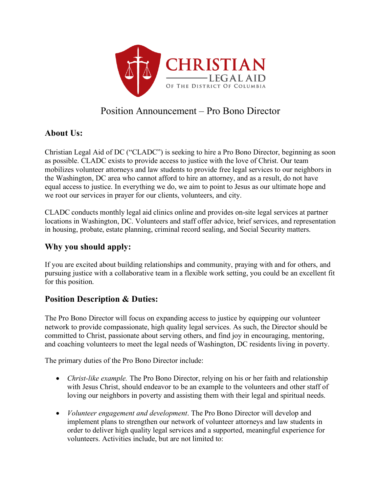

# Position Announcement – Pro Bono Director

## **About Us:**

Christian Legal Aid of DC ("CLADC") is seeking to hire a Pro Bono Director, beginning as soon as possible. CLADC exists to provide access to justice with the love of Christ. Our team mobilizes volunteer attorneys and law students to provide free legal services to our neighbors in the Washington, DC area who cannot afford to hire an attorney, and as a result, do not have equal access to justice. In everything we do, we aim to point to Jesus as our ultimate hope and we root our services in prayer for our clients, volunteers, and city.

CLADC conducts monthly legal aid clinics online and provides on-site legal services at partner locations in Washington, DC. Volunteers and staff offer advice, brief services, and representation in housing, probate, estate planning, criminal record sealing, and Social Security matters.

## **Why you should apply:**

If you are excited about building relationships and community, praying with and for others, and pursuing justice with a collaborative team in a flexible work setting, you could be an excellent fit for this position.

### **Position Description & Duties:**

The Pro Bono Director will focus on expanding access to justice by equipping our volunteer network to provide compassionate, high quality legal services. As such, the Director should be committed to Christ, passionate about serving others, and find joy in encouraging, mentoring, and coaching volunteers to meet the legal needs of Washington, DC residents living in poverty.

The primary duties of the Pro Bono Director include:

- *Christ-like example*. The Pro Bono Director, relying on his or her faith and relationship with Jesus Christ, should endeavor to be an example to the volunteers and other staff of loving our neighbors in poverty and assisting them with their legal and spiritual needs.
- *Volunteer engagement and development*. The Pro Bono Director will develop and implement plans to strengthen our network of volunteer attorneys and law students in order to deliver high quality legal services and a supported, meaningful experience for volunteers. Activities include, but are not limited to: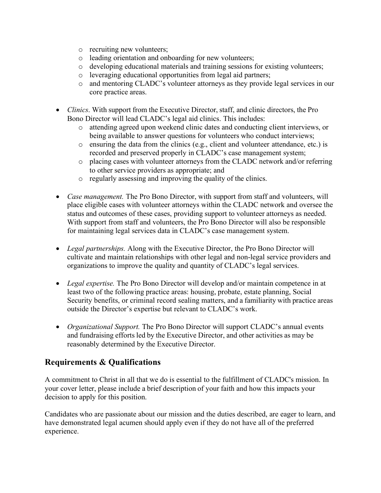- o recruiting new volunteers;
- o leading orientation and onboarding for new volunteers;
- o developing educational materials and training sessions for existing volunteers;
- o leveraging educational opportunities from legal aid partners;
- o and mentoring CLADC's volunteer attorneys as they provide legal services in our core practice areas.
- *Clinics*. With support from the Executive Director, staff, and clinic directors, the Pro Bono Director will lead CLADC's legal aid clinics. This includes:
	- o attending agreed upon weekend clinic dates and conducting client interviews, or being available to answer questions for volunteers who conduct interviews;
	- o ensuring the data from the clinics (e.g., client and volunteer attendance, etc.) is recorded and preserved properly in CLADC's case management system;
	- o placing cases with volunteer attorneys from the CLADC network and/or referring to other service providers as appropriate; and
	- o regularly assessing and improving the quality of the clinics.
- *Case management*. The Pro Bono Director, with support from staff and volunteers, will place eligible cases with volunteer attorneys within the CLADC network and oversee the status and outcomes of these cases, providing support to volunteer attorneys as needed. With support from staff and volunteers, the Pro Bono Director will also be responsible for maintaining legal services data in CLADC's case management system.
- *Legal partnerships.* Along with the Executive Director, the Pro Bono Director will cultivate and maintain relationships with other legal and non-legal service providers and organizations to improve the quality and quantity of CLADC's legal services.
- *Legal expertise.* The Pro Bono Director will develop and/or maintain competence in at least two of the following practice areas: housing, probate, estate planning, Social Security benefits, or criminal record sealing matters, and a familiarity with practice areas outside the Director's expertise but relevant to CLADC's work.
- *Organizational Support.* The Pro Bono Director will support CLADC's annual events and fundraising efforts led by the Executive Director, and other activities as may be reasonably determined by the Executive Director.

### **Requirements & Qualifications**

A commitment to Christ in all that we do is essential to the fulfillment of CLADC's mission. In your cover letter, please include a brief description of your faith and how this impacts your decision to apply for this position.

Candidates who are passionate about our mission and the duties described, are eager to learn, and have demonstrated legal acumen should apply even if they do not have all of the preferred experience.